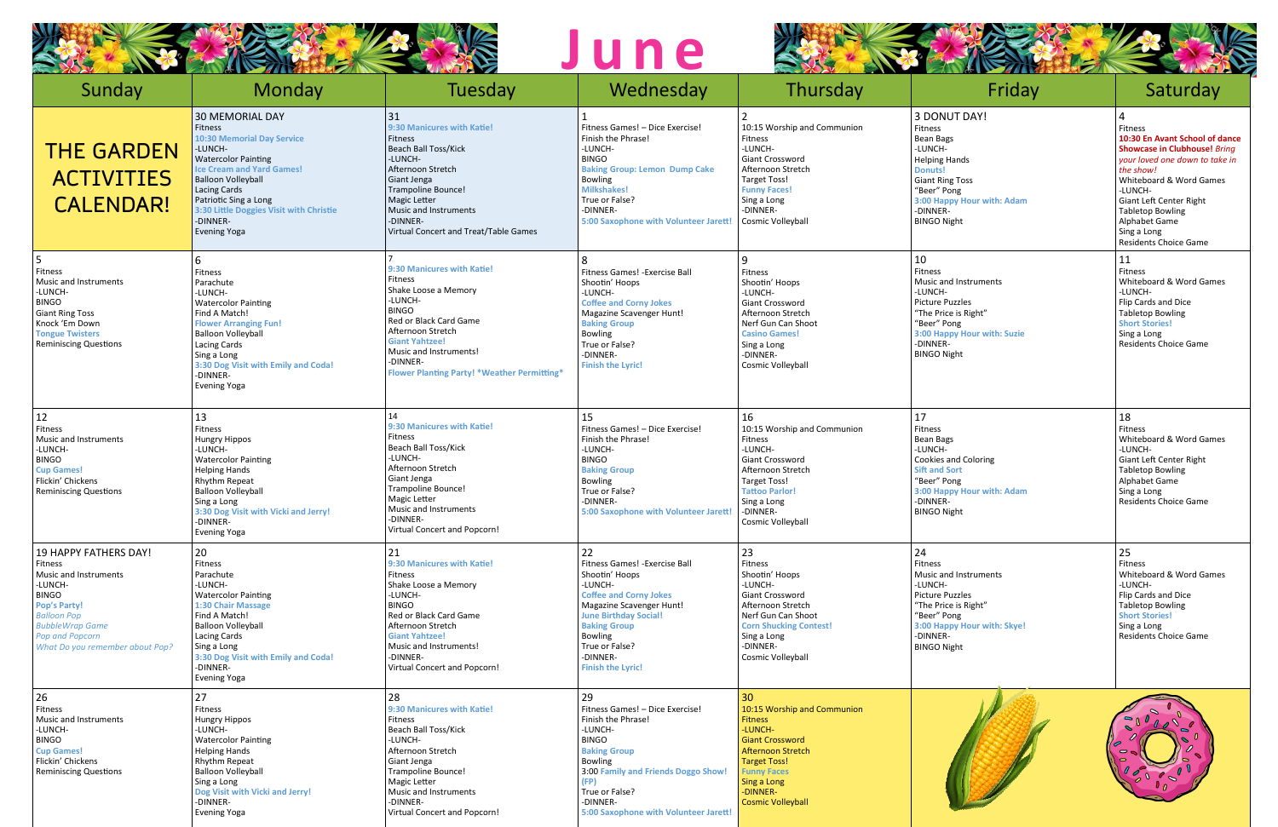





|                                                                                                                                                                                                                                 |                                                                                                                                                                                                                                                                                                                | <b>AVER</b>                                                                                                                                                                                                                                                  | une                                                                                                                                                                                                                                                               |                                                                                                                                                                                                                          |                                                                                                                                                                                                           | <b>AVA</b>                                                                                                                                                                                                                                                                           |
|---------------------------------------------------------------------------------------------------------------------------------------------------------------------------------------------------------------------------------|----------------------------------------------------------------------------------------------------------------------------------------------------------------------------------------------------------------------------------------------------------------------------------------------------------------|--------------------------------------------------------------------------------------------------------------------------------------------------------------------------------------------------------------------------------------------------------------|-------------------------------------------------------------------------------------------------------------------------------------------------------------------------------------------------------------------------------------------------------------------|--------------------------------------------------------------------------------------------------------------------------------------------------------------------------------------------------------------------------|-----------------------------------------------------------------------------------------------------------------------------------------------------------------------------------------------------------|--------------------------------------------------------------------------------------------------------------------------------------------------------------------------------------------------------------------------------------------------------------------------------------|
| Sunday                                                                                                                                                                                                                          | <b>Monday</b>                                                                                                                                                                                                                                                                                                  | Tuesday                                                                                                                                                                                                                                                      | Wednesday                                                                                                                                                                                                                                                         | Thursday                                                                                                                                                                                                                 | Friday                                                                                                                                                                                                    | Saturday                                                                                                                                                                                                                                                                             |
| <b>THE GARDEN</b><br><b>ACTIVITIES</b><br><b>CALENDAR!</b>                                                                                                                                                                      | 30 MEMORIAL DAY<br><b>Fitness</b><br><b>10:30 Memorial Day Service</b><br>-LUNCH-<br><b>Watercolor Painting</b><br><b>Ice Cream and Yard Games!</b><br><b>Balloon Volleyball</b><br><b>Lacing Cards</b><br>Patriotic Sing a Long<br>3:30 Little Doggies Visit with Christie<br>-DINNER-<br><b>Evening Yoga</b> | 31<br>9:30 Manicures with Katie!<br><b>Fitness</b><br><b>Beach Ball Toss/Kick</b><br>-LUNCH-<br>Afternoon Stretch<br>Giant Jenga<br><b>Trampoline Bounce!</b><br>Magic Letter<br>Music and Instruments<br>-DINNER-<br>Virtual Concert and Treat/Table Games  | Fitness Games! - Dice Exercise!<br>Finish the Phrase!<br>-LUNCH-<br><b>BINGO</b><br><b>Baking Group: Lemon Dump Cake</b><br><b>Bowling</b><br><b>Milkshakes!</b><br>True or False?<br>-DINNER-<br>5:00 Saxophone with Volunteer Jarett!                           | 10:15 Worship and Communion<br><b>Fitness</b><br>-LUNCH-<br><b>Giant Crossword</b><br>Afternoon Stretch<br><b>Target Toss!</b><br><b>Funny Faces!</b><br>Sing a Long<br>-DINNER-<br>Cosmic Volleyball                    | 3 DONUT DAY!<br>Fitness<br><b>Bean Bags</b><br>-LUNCH-<br><b>Helping Hands</b><br><b>Donuts!</b><br><b>Giant Ring Toss</b><br>"Beer" Pong<br>3:00 Happy Hour with: Adam<br>-DINNER-<br><b>BINGO Night</b> | Fitness<br>10:30 En Avant School of dance<br><b>Showcase in Clubhouse! Bring</b><br>your loved one down to take in<br>the show!<br>Whiteboard & Word Games<br>-LUNCH-<br>Giant Left Center Right<br><b>Tabletop Bowling</b><br>Alphabet Game<br>Sing a Long<br>Residents Choice Game |
| 5<br>Fitness<br>Music and Instruments<br>-LUNCH-<br><b>BINGO</b><br><b>Giant Ring Toss</b><br>Knock 'Em Down<br><b>Tongue Twisters</b><br><b>Reminiscing Questions</b>                                                          | 6<br>Fitness<br>Parachute<br>-LUNCH-<br><b>Watercolor Painting</b><br>Find A Match!<br><b>Flower Arranging Fun!</b><br><b>Balloon Volleyball</b><br>Lacing Cards<br>Sing a Long<br>3:30 Dog Visit with Emily and Coda!<br>-DINNER-<br><b>Evening Yoga</b>                                                      | 9:30 Manicures with Katie!<br>Fitness<br>Shake Loose a Memory<br>-LUNCH-<br><b>BINGO</b><br>Red or Black Card Game<br>Afternoon Stretch<br><b>Giant Yahtzee!</b><br>Music and Instruments!<br>-DINNER-<br><b>Flower Planting Party! *Weather Permitting*</b> | Fitness Games! - Exercise Ball<br>Shootin' Hoops<br>-LUNCH-<br><b>Coffee and Corny Jokes</b><br>Magazine Scavenger Hunt!<br><b>Baking Group</b><br><b>Bowling</b><br>True or False?<br>-DINNER-<br><b>Finish the Lyric!</b>                                       | q<br>Fitness<br>Shootin' Hoops<br>-LUNCH-<br>Giant Crossword<br>Afternoon Stretch<br>Nerf Gun Can Shoot<br><b>Casino Games!</b><br>Sing a Long<br>-DINNER-<br>Cosmic Volleyball                                          | 10<br>Fitness<br>Music and Instruments<br>-LUNCH-<br><b>Picture Puzzles</b><br>"The Price is Right"<br>"Beer" Pong<br>3:00 Happy Hour with: Suzie<br>-DINNER-<br><b>BINGO Night</b>                       | 11<br>Fitness<br>Whiteboard & Word Games<br>-LUNCH-<br>Flip Cards and Dice<br><b>Tabletop Bowling</b><br><b>Short Stories!</b><br>Sing a Long<br>Residents Choice Game                                                                                                               |
| 12<br>Fitness<br><b>Music and Instruments</b><br>-LUNCH-<br><b>BINGO</b><br><b>Cup Games!</b><br>Flickin' Chickens<br><b>Reminiscing Questions</b>                                                                              | 13<br>Fitness<br>Hungry Hippos<br>-LUNCH-<br><b>Watercolor Painting</b><br><b>Helping Hands</b><br>Rhythm Repeat<br><b>Balloon Volleyball</b><br>Sing a Long<br>3:30 Dog Visit with Vicki and Jerry!<br>-DINNER-<br><b>Evening Yoga</b>                                                                        | 9:30 Manicures with Katie!<br>Fitness<br>Beach Ball Toss/Kick<br>-LUNCH-<br>Afternoon Stretch<br>Giant Jenga<br><b>Trampoline Bounce!</b><br>Magic Letter<br>Music and Instruments<br>-DINNER-<br>Virtual Concert and Popcorn!                               | 15<br>Fitness Games! - Dice Exercise!<br>Finish the Phrase!<br>-LUNCH-<br><b>BINGO</b><br><b>Baking Group</b><br><b>Bowling</b><br>True or False?<br>-DINNER-<br>5:00 Saxophone with Volunteer Jarett!                                                            | 16<br>10:15 Worship and Communion<br>Fitness<br>-LUNCH-<br><b>Giant Crossword</b><br>Afternoon Stretch<br><b>Target Toss!</b><br><b>Tattoo Parlor!</b><br>Sing a Long<br>-DINNER-<br>Cosmic Volleyball                   | 17<br>Fitness<br><b>Bean Bags</b><br>-LUNCH-<br>Cookies and Coloring<br><b>Sift and Sort</b><br>"Beer" Pong<br>3:00 Happy Hour with: Adam<br>-DINNER-<br><b>BINGO Night</b>                               | 18<br>Fitness<br>Whiteboard & Word Games<br>-LUNCH-<br>Giant Left Center Right<br><b>Tabletop Bowling</b><br>Alphabet Game<br>Sing a Long<br>Residents Choice Game                                                                                                                   |
| <b>19 HAPPY FATHERS DAY!</b><br>Fitness<br>Music and Instruments<br>-LUNCH-<br><b>BINGO</b><br><b>Pop's Party!</b><br><b>Balloon Pop</b><br><b>BubbleWrap Game</b><br><b>Pop and Popcorn</b><br>What Do you remember about Pop? | 20<br>Fitness<br>Parachute<br>-LUNCH-<br><b>Watercolor Painting</b><br>1:30 Chair Massage<br>Find A Match!<br><b>Balloon Volleyball</b><br>Lacing Cards<br>Sing a Long<br>3:30 Dog Visit with Emily and Coda!<br>-DINNER-<br><b>Evening Yoga</b>                                                               | 21<br>9:30 Manicures with Katie!<br>Fitness<br>Shake Loose a Memory<br>-LUNCH-<br><b>BINGO</b><br>Red or Black Card Game<br>Afternoon Stretch<br><b>Giant Yahtzee!</b><br>Music and Instruments!<br>-DINNER-<br>Virtual Concert and Popcorn!                 | 22<br>Fitness Games! - Exercise Ball<br>Shootin' Hoops<br>-LUNCH-<br><b>Coffee and Corny Jokes</b><br>Magazine Scavenger Hunt!<br><b>June Birthday Social!</b><br><b>Baking Group</b><br><b>Bowling</b><br>True or False?<br>-DINNER-<br><b>Finish the Lyric!</b> | 23<br>Fitness<br>Shootin' Hoops<br>-LUNCH-<br><b>Giant Crossword</b><br>Afternoon Stretch<br>Nerf Gun Can Shoot<br><b>Corn Shucking Contest!</b><br>Sing a Long<br>-DINNER-<br>Cosmic Volleyball                         | 24<br>Fitness<br>Music and Instruments<br>-LUNCH-<br><b>Picture Puzzles</b><br>"The Price is Right"<br>"Beer" Pong<br>3:00 Happy Hour with: Skye!<br>-DINNER-<br><b>BINGO Night</b>                       | 25<br>Fitness<br>Whiteboard & Word Games<br>-LUNCH-<br>Flip Cards and Dice<br><b>Tabletop Bowling</b><br><b>Short Stories!</b><br>Sing a Long<br>Residents Choice Game                                                                                                               |
| 26<br>Fitness<br>Music and Instruments<br>-LUNCH-<br><b>BINGO</b><br><b>Cup Games!</b><br>Flickin' Chickens<br><b>Reminiscing Questions</b>                                                                                     | 27<br>Fitness<br>Hungry Hippos<br>-LUNCH-<br><b>Watercolor Painting</b><br><b>Helping Hands</b><br>Rhythm Repeat<br><b>Balloon Volleyball</b><br>Sing a Long<br>Dog Visit with Vicki and Jerry!<br>-DINNER-<br><b>Evening Yoga</b>                                                                             | 28<br>9:30 Manicures with Katie!<br>Fitness<br>Beach Ball Toss/Kick<br>-LUNCH-<br>Afternoon Stretch<br>Giant Jenga<br><b>Trampoline Bounce!</b><br>Magic Letter<br>Music and Instruments<br>-DINNER-<br>Virtual Concert and Popcorn!                         | 29<br>Fitness Games! - Dice Exercise!<br>Finish the Phrase!<br>-LUNCH-<br><b>BINGO</b><br><b>Baking Group</b><br><b>Bowling</b><br>3:00 Family and Friends Doggo Show!<br>(FP)<br>True or False?<br>-DINNER-<br>5:00 Saxophone with Volunteer Jarett!             | 30<br>10:15 Worship and Communion<br><b>Fitness</b><br>-LUNCH-<br><b>Giant Crossword</b><br><b>Afternoon Stretch</b><br><b>Target Toss!</b><br><b>Funny Faces</b><br>Sing a Long<br>-DINNER-<br><b>Cosmic Volleyball</b> |                                                                                                                                                                                                           | $\sim_{0}$<br>$\sim$<br>$\overline{\phantom{a}}$<br>$\blacksquare$<br>$\overline{\mathcal{O}}$<br>$\int_{0}^{\infty}$                                                                                                                                                                |